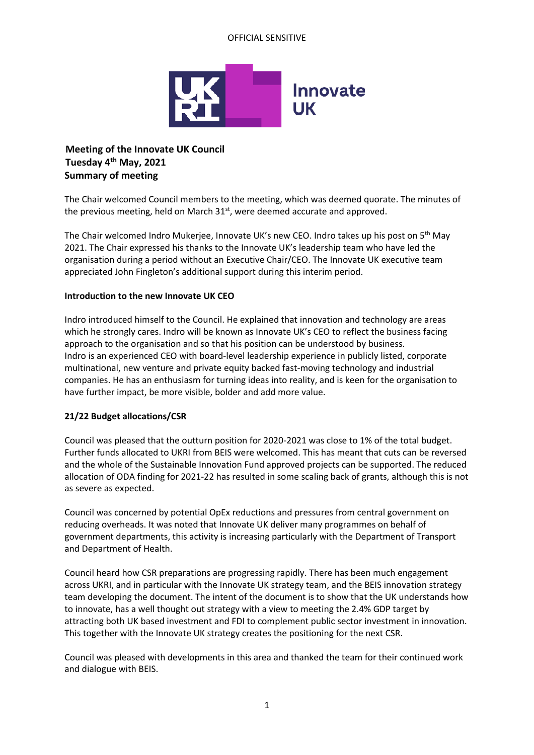## OFFICIAL SENSITIVE



# **Meeting of the Innovate UK Council Tuesday 4th May, 2021 Summary of meeting**

The Chair welcomed Council members to the meeting, which was deemed quorate. The minutes of the previous meeting, held on March  $31<sup>st</sup>$ , were deemed accurate and approved.

The Chair welcomed Indro Mukerjee, Innovate UK's new CEO. Indro takes up his post on 5<sup>th</sup> May 2021. The Chair expressed his thanks to the Innovate UK's leadership team who have led the organisation during a period without an Executive Chair/CEO. The Innovate UK executive team appreciated John Fingleton's additional support during this interim period.

## **Introduction to the new Innovate UK CEO**

Indro introduced himself to the Council. He explained that innovation and technology are areas which he strongly cares. Indro will be known as Innovate UK's CEO to reflect the business facing approach to the organisation and so that his position can be understood by business. Indro is an experienced CEO with board-level leadership experience in publicly listed, corporate multinational, new venture and private equity backed fast-moving technology and industrial companies. He has an enthusiasm for turning ideas into reality, and is keen for the organisation to have further impact, be more visible, bolder and add more value.

## **21/22 Budget allocations/CSR**

Council was pleased that the outturn position for 2020-2021 was close to 1% of the total budget. Further funds allocated to UKRI from BEIS were welcomed. This has meant that cuts can be reversed and the whole of the Sustainable Innovation Fund approved projects can be supported. The reduced allocation of ODA finding for 2021-22 has resulted in some scaling back of grants, although this is not as severe as expected.

Council was concerned by potential OpEx reductions and pressures from central government on reducing overheads. It was noted that Innovate UK deliver many programmes on behalf of government departments, this activity is increasing particularly with the Department of Transport and Department of Health.

Council heard how CSR preparations are progressing rapidly. There has been much engagement across UKRI, and in particular with the Innovate UK strategy team, and the BEIS innovation strategy team developing the document. The intent of the document is to show that the UK understands how to innovate, has a well thought out strategy with a view to meeting the 2.4% GDP target by attracting both UK based investment and FDI to complement public sector investment in innovation. This together with the Innovate UK strategy creates the positioning for the next CSR.

Council was pleased with developments in this area and thanked the team for their continued work and dialogue with BEIS.